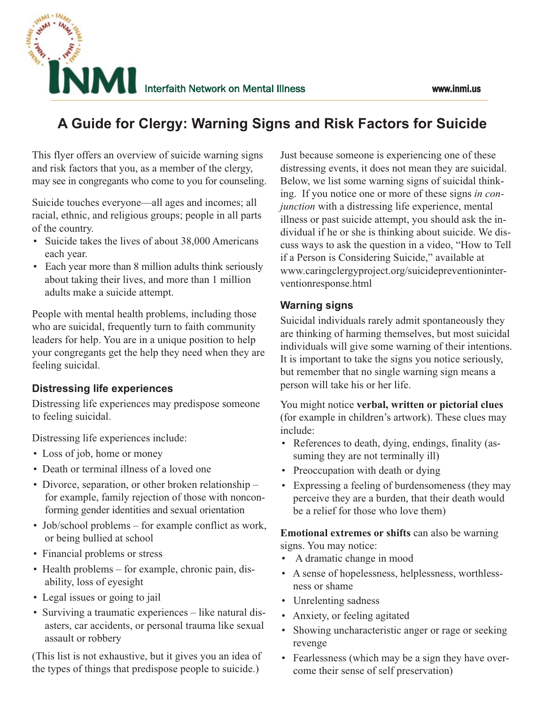

# **A Guide for Clergy: Warning Signs and Risk Factors for Suicide**

This flyer offers an overview of suicide warning signs and risk factors that you, as a member of the clergy, may see in congregants who come to you for counseling.

Suicide touches everyone—all ages and incomes; all racial, ethnic, and religious groups; people in all parts of the country.

- Suicide takes the lives of about 38,000 Americans each year.
- Each year more than 8 million adults think seriously about taking their lives, and more than 1 million adults make a suicide attempt.

People with mental health problems, including those who are suicidal, frequently turn to faith community leaders for help. You are in a unique position to help your congregants get the help they need when they are feeling suicidal.

## **Distressing life experiences**

Distressing life experiences may predispose someone to feeling suicidal.

Distressing life experiences include:

- Loss of job, home or money
- Death or terminal illness of a loved one
- Divorce, separation, or other broken relationship for example, family rejection of those with nonconforming gender identities and sexual orientation
- Job/school problems for example conflict as work, or being bullied at school
- Financial problems or stress
- Health problems for example, chronic pain, disability, loss of eyesight
- Legal issues or going to jail
- Surviving a traumatic experiences like natural disasters, car accidents, or personal trauma like sexual assault or robbery

(This list is not exhaustive, but it gives you an idea of the types of things that predispose people to suicide.)

Just because someone is experiencing one of these distressing events, it does not mean they are suicidal. Below, we list some warning signs of suicidal thinking. If you notice one or more of these signs *in conjunction* with a distressing life experience, mental illness or past suicide attempt, you should ask the individual if he or she is thinking about suicide. We discuss ways to ask the question in a video, "How to Tell if a Person is Considering Suicide," available at www.caringclergyproject.org/suicidepreventioninterventionresponse.html

## **Warning signs**

Suicidal individuals rarely admit spontaneously they are thinking of harming themselves, but most suicidal individuals will give some warning of their intentions. It is important to take the signs you notice seriously, but remember that no single warning sign means a person will take his or her life.

You might notice **verbal, written or pictorial clues** (for example in children's artwork). These clues may include:

- References to death, dying, endings, finality (assuming they are not terminally ill)
- Preoccupation with death or dying
- Expressing a feeling of burdensomeness (they may perceive they are a burden, that their death would be a relief for those who love them)

**Emotional extremes or shifts** can also be warning signs. You may notice:

- A dramatic change in mood
- A sense of hopelessness, helplessness, worthlessness or shame
- Unrelenting sadness
- Anxiety, or feeling agitated
- Showing uncharacteristic anger or rage or seeking revenge
- Fearlessness (which may be a sign they have overcome their sense of self preservation)